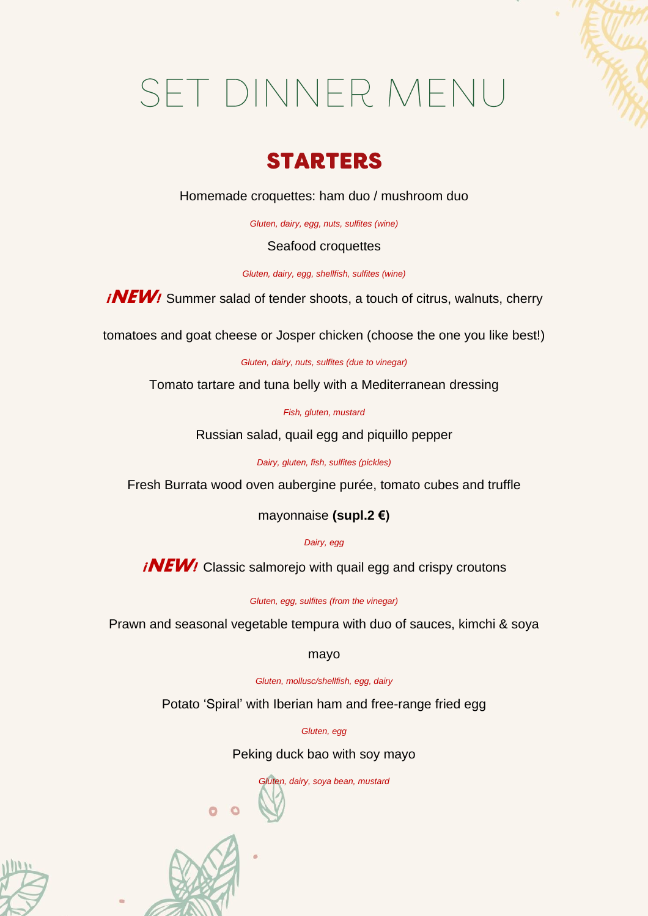# SET DINNER MENU

## **STARTERS**

Homemade croquettes: ham duo / mushroom duo

*Gluten, dairy, egg, nuts, sulfites (wine)*

### Seafood croquettes

*Gluten, dairy, egg, shellfish, sulfites (wine)*

*iNEW!* Summer salad of tender shoots, a touch of citrus, walnuts, cherry

tomatoes and goat cheese or Josper chicken (choose the one you like best!)

*Gluten, dairy, nuts, sulfites (due to vinegar)*

Tomato tartare and tuna belly with a Mediterranean dressing

*Fish, gluten, mustard*

Russian salad, quail egg and piquillo pepper

*Dairy, gluten, fish, sulfites (pickles)*

Fresh Burrata wood oven aubergine purée, tomato cubes and truffle

mayonnaise **(supl.2 €)**

*Dairy, egg*

*iNEW!* Classic salmorejo with quail egg and crispy croutons

*Gluten, egg, sulfites (from the vinegar)*

Prawn and seasonal vegetable tempura with duo of sauces, kimchi & soya

mayo

*Gluten, mollusc/shellfish, egg, dairy*

Potato 'Spiral' with Iberian ham and free-range fried egg

*Gluten, egg*

Peking duck bao with soy mayo

*Gluten, dairy, soya bean, mustard*



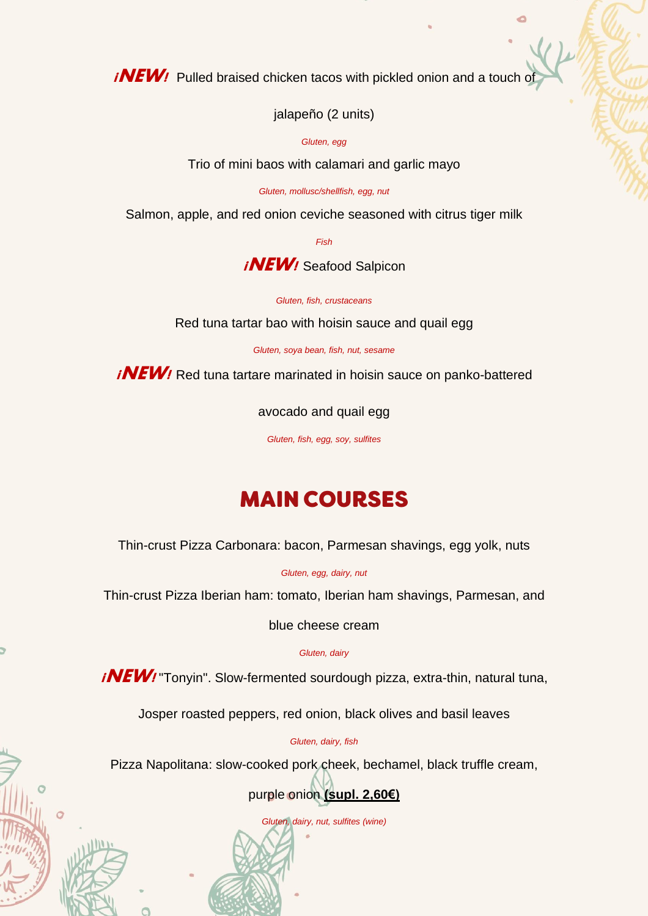**¡NEW!** Pulled braised chicken tacos with pickled onion and a touch of

jalapeño (2 units)

*Gluten, egg*

Trio of mini baos with calamari and garlic mayo

*Gluten, mollusc/shellfish, egg, nut*

Salmon, apple, and red onion ceviche seasoned with citrus tiger milk

*Fish*

**¡NEW!** Seafood Salpicon

*Gluten, fish, crustaceans*

Red tuna tartar bao with hoisin sauce and quail egg

*Gluten, soya bean, fish, nut, sesame*

*iNEW!* Red tuna tartare marinated in hoisin sauce on panko-battered

avocado and quail egg

*Gluten, fish, egg, soy, sulfites*

# **MAIN COURSES**

Thin-crust Pizza Carbonara: bacon, Parmesan shavings, egg yolk, nuts

*Gluten, egg, dairy, nut*

Thin-crust Pizza Iberian ham: tomato, Iberian ham shavings, Parmesan, and

blue cheese cream

*Gluten, dairy*

*iNEW!* "Tonyin". Slow-fermented sourdough pizza, extra-thin, natural tuna,

Josper roasted peppers, red onion, black olives and basil leaves

*Gluten, dairy, fish*

Pizza Napolitana: slow-cooked pork cheek, bechamel, black truffle cream,

purple onion **(supl. 2,60€)**

*Gluten, dairy, nut, sulfites (wine)*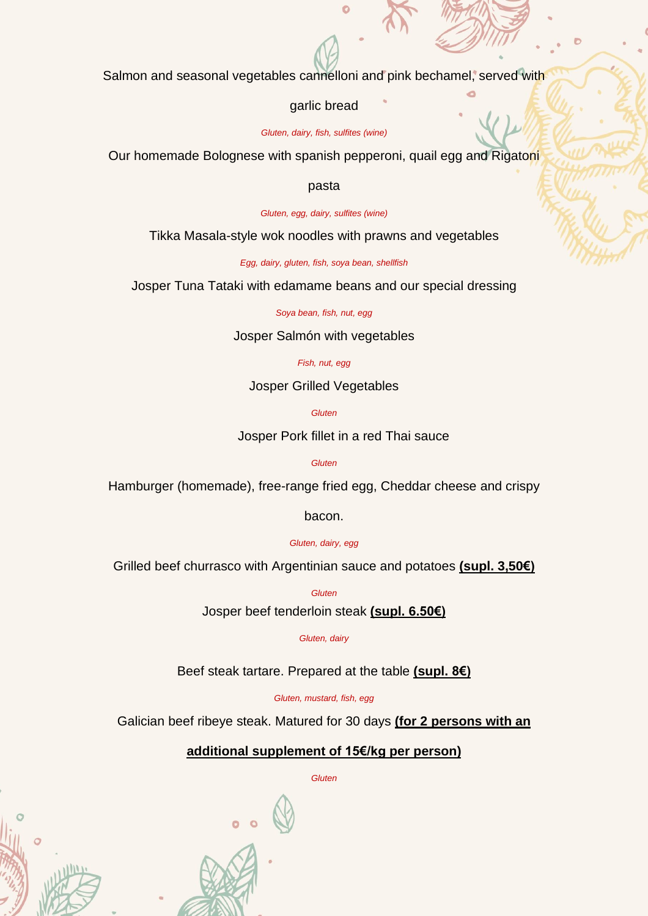Salmon and seasonal vegetables cannelloni and pink bechamel, served with

#### garlic bread

*Gluten, dairy, fish, sulfites (wine)*

Our homemade Bolognese with spanish pepperoni, quail egg and Rigatoni

#### pasta

*Gluten, egg, dairy, sulfites (wine)*

Tikka Masala-style wok noodles with prawns and vegetables

*Egg, dairy, gluten, fish, soya bean, shellfish*

Josper Tuna Tataki with edamame beans and our special dressing

*Soya bean, fish, nut, egg*

Josper Salmón with vegetables

#### *Fish, nut, egg*

Josper Grilled Vegetables

*Gluten*

Josper Pork fillet in a red Thai sauce

*Gluten*

Hamburger (homemade), free-range fried egg, Cheddar cheese and crispy

bacon.

*Gluten, dairy, egg*

Grilled beef churrasco with Argentinian sauce and potatoes **(supl. 3,50€)**

*Gluten*

Josper beef tenderloin steak **(supl. 6.50€)**

*Gluten, dairy*

Beef steak tartare. Prepared at the table **(supl. 8€)**

*Gluten, mustard, fish, egg*

Galician beef ribeye steak. Matured for 30 days **(for 2 persons with an**

## **additional supplement of 15€/kg per person)**

*Gluten*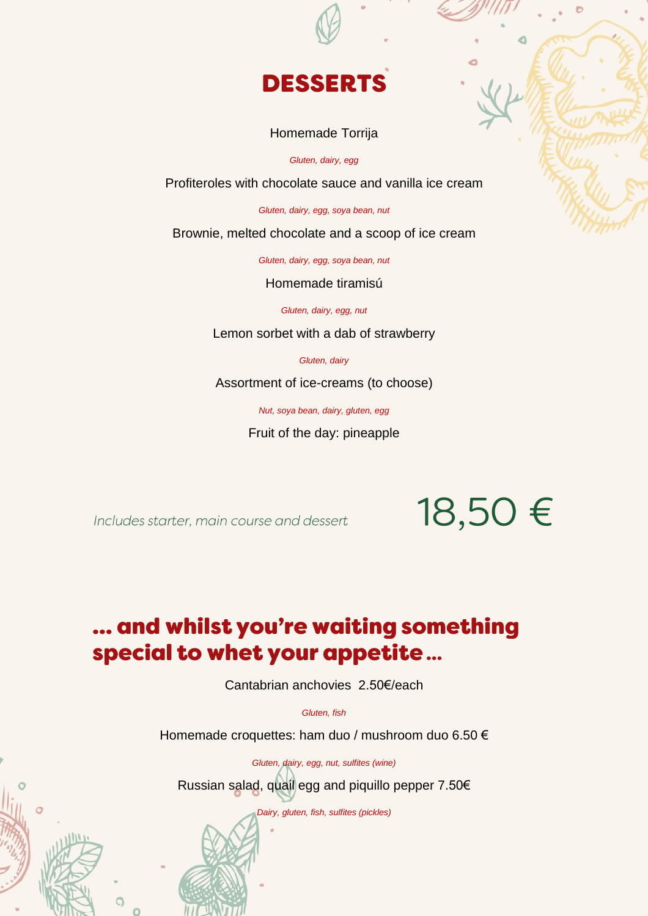

#### Homemade Torrija

*Gluten, dairy, egg*

Profiteroles with chocolate sauce and vanilla ice cream

*Gluten, dairy, egg, soya bean, nut*

Brownie, melted chocolate and a scoop of ice cream

*Gluten, dairy, egg, soya bean, nut*

Homemade tiramisú

*Gluten, dairy, egg, nut*

Lemon sorbet with a dab of strawberry

*Gluten, dairy*

Assortment of ice-creams (to choose)

*Nut, soya bean, dairy, gluten, egg*

Fruit of the day: pineapple

Includes starter, main course and dessert

18,50€

## ... and whilst you're waiting something special to whet your appetite...

Cantabrian anchovies 2.50€/each

*Gluten, fish*

Homemade croquettes: ham duo / mushroom duo 6.50 €

*Gluten, dairy, egg, nut, sulfites (wine)* Russian salad, quail egg and piquillo pepper 7.50€

*Dairy, gluten, fish, sulfites (pickles)*